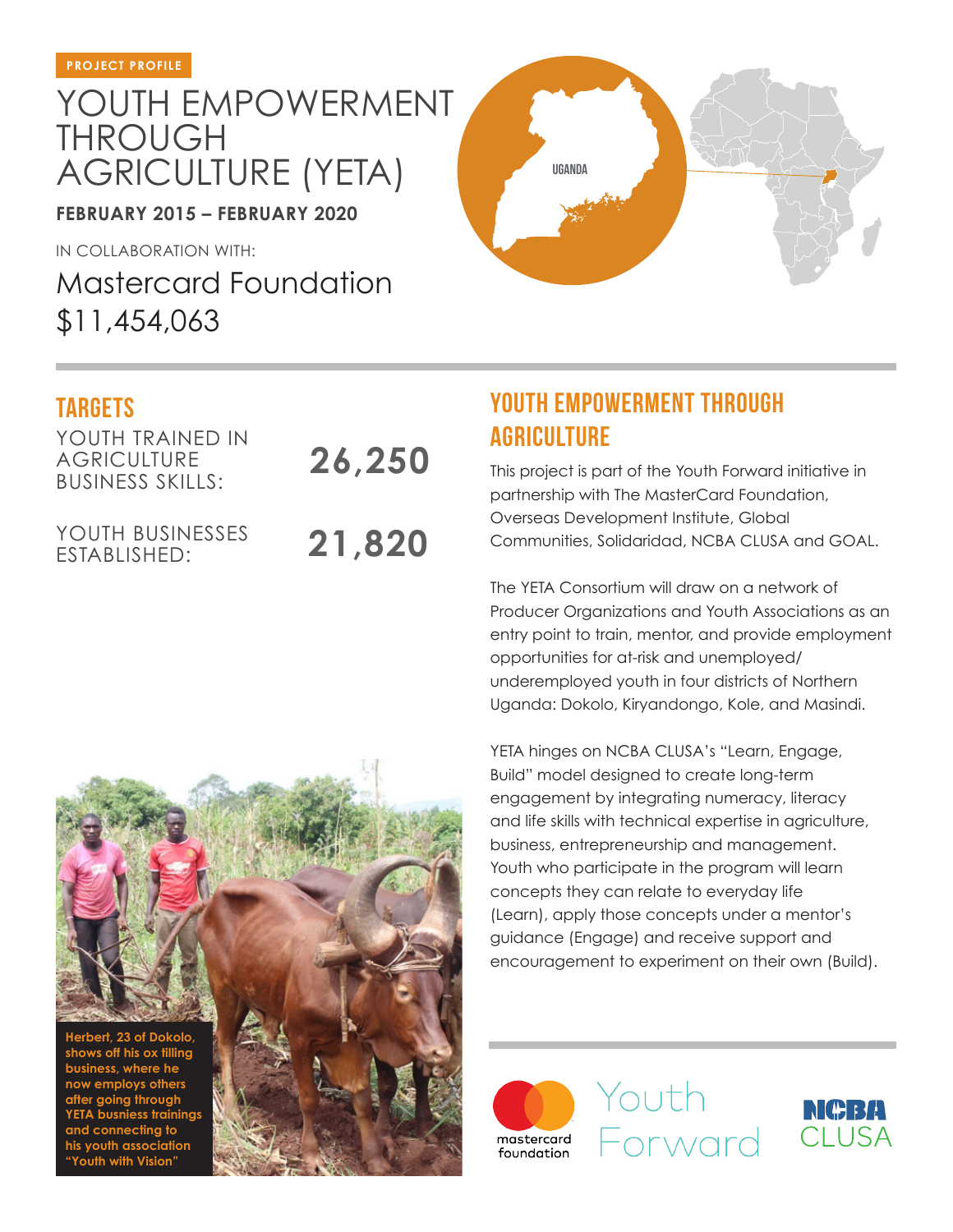## YOUTH EMPOWERMENT THROUGH AGRICULTURE (YETA)

**FEBRUARY 2015 – FEBRUARY 2020**

IN COLLABORATION WITH:

Mastercard Foundation \$11,454,063

YOUTH TRAINED IN **AGRICULTURE** BUSINESS SKILLS:

YOUTH BUSINESSES ESTABLISHED:

**21,820**

**26,250**

## TARGETS **TARGETS TARGETS AGRICULTURE**

**uganda**

This project is part of the Youth Forward initiative in partnership with The MasterCard Foundation, Overseas Development Institute, Global Communities, Solidaridad, NCBA CLUSA and GOAL.

The YETA Consortium will draw on a network of Producer Organizations and Youth Associations as an entry point to train, mentor, and provide employment opportunities for at-risk and unemployed/ underemployed youth in four districts of Northern Uganda: Dokolo, Kiryandongo, Kole, and Masindi.

YETA hinges on NCBA CLUSA's "Learn, Engage, Build" model designed to create long-term engagement by integrating numeracy, literacy and life skills with technical expertise in agriculture, business, entrepreneurship and management. Youth who participate in the program will learn concepts they can relate to everyday life (Learn), apply those concepts under a mentor's guidance (Engage) and receive support and encouragement to experiment on their own (Build).